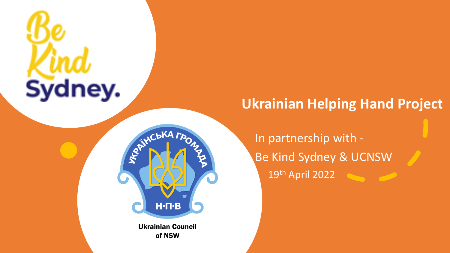# Sydney.



Ukrainian Council of NSW

### **Ukrainian Helping Hand Project**

In partnership with - Be Kind Sydney & UCNSW 19th April 2022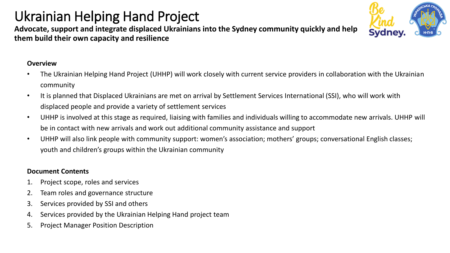## Ukrainian Helping Hand Project

**Advocate, support and integrate displaced Ukrainians into the Sydney community quickly and help them build their own capacity and resilience**

#### **Overview**

- The Ukrainian Helping Hand Project (UHHP) will work closely with current service providers in collaboration with the Ukrainian community
- It is planned that Displaced Ukrainians are met on arrival by Settlement Services International (SSI), who will work with displaced people and provide a variety of settlement services
- UHHP is involved at this stage as required, liaising with families and individuals willing to accommodate new arrivals. UHHP will be in contact with new arrivals and work out additional community assistance and support
- UHHP will also link people with community support: women's association; mothers' groups; conversational English classes; youth and children's groups within the Ukrainian community

#### **Document Contents**

- 1. Project scope, roles and services
- 2. Team roles and governance structure
- 3. Services provided by SSI and others
- 4. Services provided by the Ukrainian Helping Hand project team
- 5. Project Manager Position Description

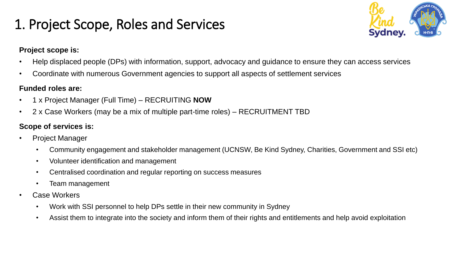## 1. Project Scope, Roles and Services



#### **Project scope is:**

- Help displaced people (DPs) with information, support, advocacy and guidance to ensure they can access services
- Coordinate with numerous Government agencies to support all aspects of settlement services

#### **Funded roles are:**

- 1 x Project Manager (Full Time) RECRUITING **NOW**
- 2 x Case Workers (may be a mix of multiple part-time roles) RECRUITMENT TBD

#### **Scope of services is:**

- Project Manager
	- Community engagement and stakeholder management (UCNSW, Be Kind Sydney, Charities, Government and SSI etc)
	- Volunteer identification and management
	- Centralised coordination and regular reporting on success measures
	- Team management
- Case Workers
	- Work with SSI personnel to help DPs settle in their new community in Sydney
	- Assist them to integrate into the society and inform them of their rights and entitlements and help avoid exploitation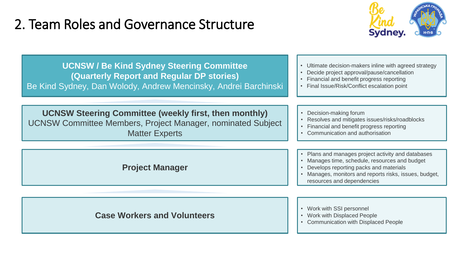## 2. Team Roles and Governance Structure



| <b>UCNSW / Be Kind Sydney Steering Committee</b><br>(Quarterly Report and Regular DP stories)<br>Be Kind Sydney, Dan Wolody, Andrew Mencinsky, Andrei Barchinski | • Ultimate decision-makers inline with agreed strategy<br>Decide project approval/pause/cancellation<br>Financial and benefit progress reporting<br>Final Issue/Risk/Conflict escalation point                                           |
|------------------------------------------------------------------------------------------------------------------------------------------------------------------|------------------------------------------------------------------------------------------------------------------------------------------------------------------------------------------------------------------------------------------|
| <b>UCNSW Steering Committee (weekly first, then monthly)</b><br><b>UCNSW Committee Members, Project Manager, nominated Subject</b><br><b>Matter Experts</b>      | Decision-making forum<br>$\bullet$<br>Resolves and mitigates issues/risks/roadblocks<br>Financial and benefit progress reporting<br>$\bullet$<br>• Communication and authorisation                                                       |
| <b>Project Manager</b>                                                                                                                                           | • Plans and manages project activity and databases<br>• Manages time, schedule, resources and budget<br>• Develops reporting packs and materials<br>• Manages, monitors and reports risks, issues, budget,<br>resources and dependencies |
| <b>Case Workers and Volunteers</b>                                                                                                                               | • Work with SSI personnel<br>• Work with Displaced People<br>• Communication with Displaced People                                                                                                                                       |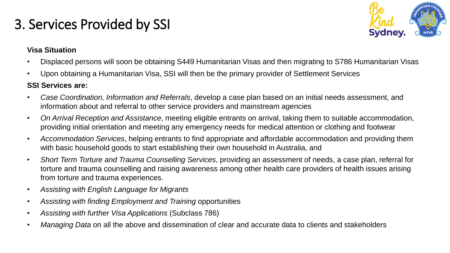## 3. Services Provided by SSI



#### **Visa Situation**

- Displaced persons will soon be obtaining S449 Humanitarian Visas and then migrating to S786 Humanitarian Visas
- Upon obtaining a Humanitarian Visa, SSI will then be the primary provider of Settlement Services

#### **SSI Services are:**

- *Case Coordination, Information and Referrals*, develop a case plan based on an initial needs assessment, and information about and referral to other service providers and mainstream agencies
- *On Arrival Reception and Assistance*, meeting eligible entrants on arrival, taking them to suitable accommodation, providing initial orientation and meeting any emergency needs for medical attention or clothing and footwear
- *Accommodation Services*, helping entrants to find appropriate and affordable accommodation and providing them with basic household goods to start establishing their own household in Australia, and
- *Short Term Torture and Trauma Counselling Services*, providing an assessment of needs, a case plan, referral for torture and trauma counselling and raising awareness among other health care providers of health issues arising from torture and trauma experiences.
- *Assisting with English Language for Migrants*
- *Assisting with finding Employment and Training* opportunities
- *Assisting with further Visa Applications* (Subclass 786)
- *Managing Data* on all the above and dissemination of clear and accurate data to clients and stakeholders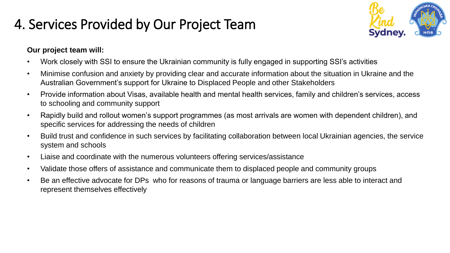## 4. Services Provided by Our Project Team



#### **Our project team will:**

- Work closely with SSI to ensure the Ukrainian community is fully engaged in supporting SSI's activities
- Minimise confusion and anxiety by providing clear and accurate information about the situation in Ukraine and the Australian Government's support for Ukraine to Displaced People and other Stakeholders
- Provide information about Visas, available health and mental health services, family and children's services, access to schooling and community support
- Rapidly build and rollout women's support programmes (as most arrivals are women with dependent children), and specific services for addressing the needs of children
- Build trust and confidence in such services by facilitating collaboration between local Ukrainian agencies, the service system and schools
- Liaise and coordinate with the numerous volunteers offering services/assistance
- Validate those offers of assistance and communicate them to displaced people and community groups
- Be an effective advocate for DPs who for reasons of trauma or language barriers are less able to interact and represent themselves effectively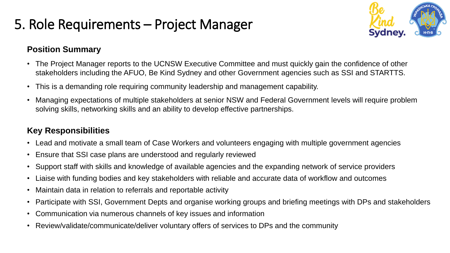## 5. Role Requirements – Project Manager



#### **Position Summary**

- The Project Manager reports to the UCNSW Executive Committee and must quickly gain the confidence of other stakeholders including the AFUO, Be Kind Sydney and other Government agencies such as SSI and STARTTS.
- This is a demanding role requiring community leadership and management capability.
- Managing expectations of multiple stakeholders at senior NSW and Federal Government levels will require problem solving skills, networking skills and an ability to develop effective partnerships.

#### **Key Responsibilities**

- Lead and motivate a small team of Case Workers and volunteers engaging with multiple government agencies
- Ensure that SSI case plans are understood and regularly reviewed
- Support staff with skills and knowledge of available agencies and the expanding network of service providers
- Liaise with funding bodies and key stakeholders with reliable and accurate data of workflow and outcomes
- Maintain data in relation to referrals and reportable activity
- Participate with SSI, Government Depts and organise working groups and briefing meetings with DPs and stakeholders
- Communication via numerous channels of key issues and information
- Review/validate/communicate/deliver voluntary offers of services to DPs and the community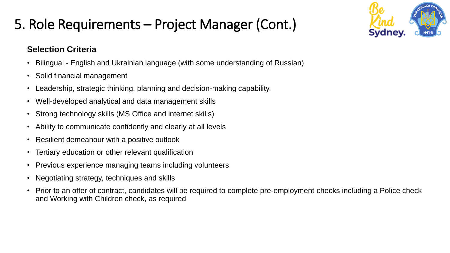## 5. Role Requirements – Project Manager (Cont.)

### **Selection Criteria**

- Bilingual English and Ukrainian language (with some understanding of Russian)
- Solid financial management
- Leadership, strategic thinking, planning and decision-making capability.
- Well-developed analytical and data management skills
- Strong technology skills (MS Office and internet skills)
- Ability to communicate confidently and clearly at all levels
- Resilient demeanour with a positive outlook
- Tertiary education or other relevant qualification
- Previous experience managing teams including volunteers
- Negotiating strategy, techniques and skills
- Prior to an offer of contract, candidates will be required to complete pre-employment checks including a Police check and Working with Children check, as required